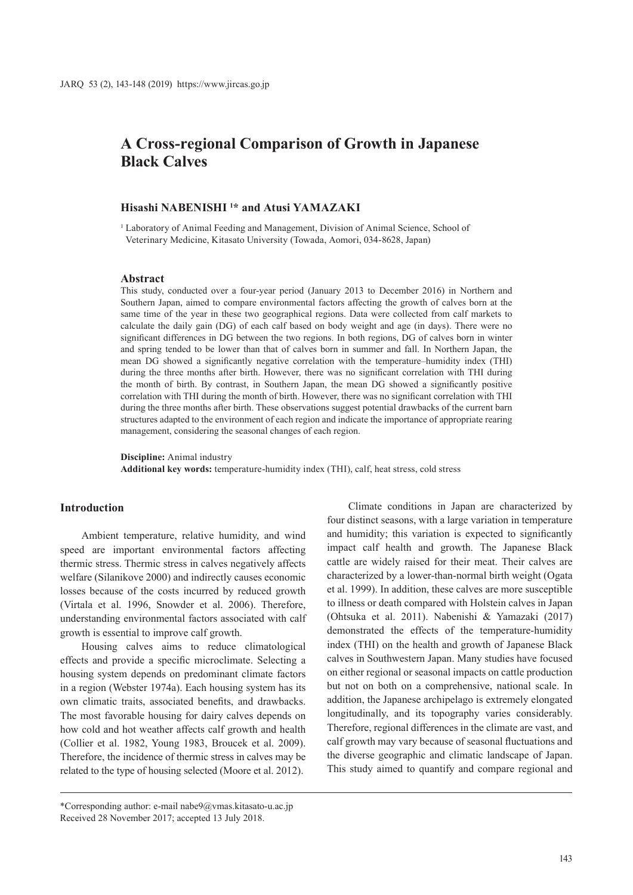# **A Cross-regional Comparison of Growth in Japanese Black Calves**

## **Hisashi NABENISHI 1 \* and Atusi YAMAZAKI**

<sup>1</sup> Laboratory of Animal Feeding and Management, Division of Animal Science, School of Veterinary Medicine, Kitasato University (Towada, Aomori, 034-8628, Japan)

## **Abstract**

This study, conducted over a four-year period (January 2013 to December 2016) in Northern and Southern Japan, aimed to compare environmental factors affecting the growth of calves born at the same time of the year in these two geographical regions. Data were collected from calf markets to calculate the daily gain (DG) of each calf based on body weight and age (in days). There were no significant differences in DG between the two regions. In both regions, DG of calves born in winter and spring tended to be lower than that of calves born in summer and fall. In Northern Japan, the mean DG showed a significantly negative correlation with the temperature–humidity index (THI) during the three months after birth. However, there was no significant correlation with THI during the month of birth. By contrast, in Southern Japan, the mean DG showed a significantly positive correlation with THI during the month of birth. However, there was no significant correlation with THI during the three months after birth. These observations suggest potential drawbacks of the current barn structures adapted to the environment of each region and indicate the importance of appropriate rearing management, considering the seasonal changes of each region.

**Discipline:** Animal industry

**Additional key words:** temperature-humidity index (THI), calf, heat stress, cold stress

# **Introduction**

Ambient temperature, relative humidity, and wind speed are important environmental factors affecting thermic stress. Thermic stress in calves negatively affects welfare (Silanikove 2000) and indirectly causes economic losses because of the costs incurred by reduced growth (Virtala et al. 1996, Snowder et al. 2006). Therefore, understanding environmental factors associated with calf growth is essential to improve calf growth.

Housing calves aims to reduce climatological effects and provide a specific microclimate. Selecting a housing system depends on predominant climate factors in a region (Webster 1974a). Each housing system has its own climatic traits, associated benefits, and drawbacks. The most favorable housing for dairy calves depends on how cold and hot weather affects calf growth and health (Collier et al. 1982, Young 1983, Broucek et al. 2009). Therefore, the incidence of thermic stress in calves may be related to the type of housing selected (Moore et al. 2012).

Climate conditions in Japan are characterized by four distinct seasons, with a large variation in temperature and humidity; this variation is expected to significantly impact calf health and growth. The Japanese Black cattle are widely raised for their meat. Their calves are characterized by a lower-than-normal birth weight (Ogata et al. 1999). In addition, these calves are more susceptible to illness or death compared with Holstein calves in Japan (Ohtsuka et al. 2011). Nabenishi & Yamazaki (2017) demonstrated the effects of the temperature-humidity index (THI) on the health and growth of Japanese Black calves in Southwestern Japan. Many studies have focused on either regional or seasonal impacts on cattle production but not on both on a comprehensive, national scale. In addition, the Japanese archipelago is extremely elongated longitudinally, and its topography varies considerably. Therefore, regional differences in the climate are vast, and calf growth may vary because of seasonal fluctuations and the diverse geographic and climatic landscape of Japan. This study aimed to quantify and compare regional and

<sup>\*</sup>Corresponding author: e-mail nabe9@vmas.kitasato-u.ac.jp Received 28 November 2017; accepted 13 July 2018.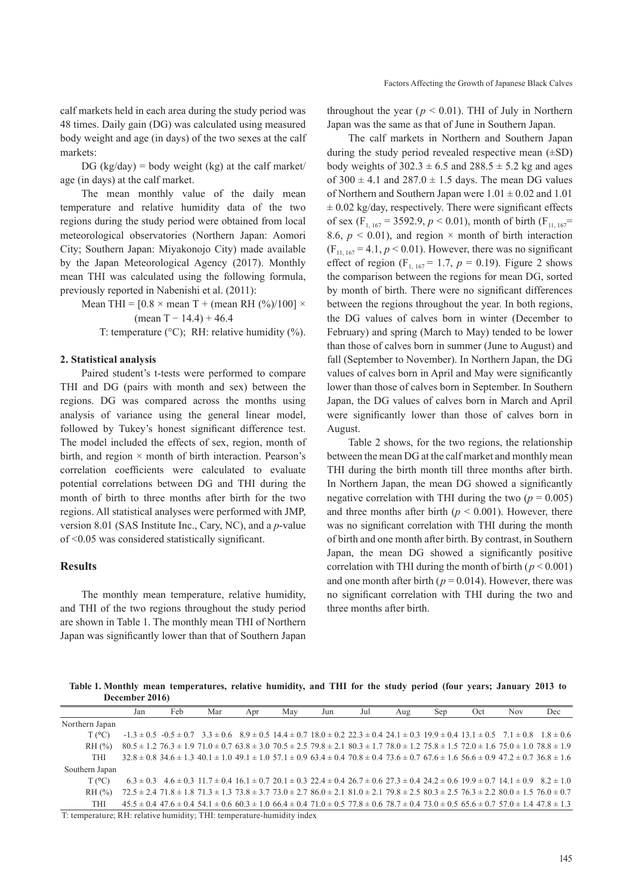calf markets held in each area during the study period was 48 times. Daily gain (DG) was calculated using measured body weight and age (in days) of the two sexes at the calf markets:

 $DG$  (kg/day) = body weight (kg) at the calf market/ age (in days) at the calf market.

The mean monthly value of the daily mean temperature and relative humidity data of the two regions during the study period were obtained from local meteorological observatories (Northern Japan: Aomori City; Southern Japan: Miyakonojo City) made available by the Japan Meteorological Agency (2017). Monthly mean THI was calculated using the following formula, previously reported in Nabenishi et al. (2011):

Mean THI =  $[0.8 \times$  mean T + (mean RH  $(\frac{\%}{100}) \times$ (mean T – 14.4) + 46.4

T: temperature ( $^{\circ}$ C); RH: relative humidity ( $\%$ ).

#### **2. Statistical analysis**

Paired student's t-tests were performed to compare THI and DG (pairs with month and sex) between the regions. DG was compared across the months using analysis of variance using the general linear model, followed by Tukey's honest significant difference test. The model included the effects of sex, region, month of birth, and region  $\times$  month of birth interaction. Pearson's correlation coefficients were calculated to evaluate potential correlations between DG and THI during the month of birth to three months after birth for the two regions. All statistical analyses were performed with JMP, version 8.01 (SAS Institute Inc., Cary, NC), and a *p*-value of <0.05 was considered statistically significant.

## **Results**

The monthly mean temperature, relative humidity, and THI of the two regions throughout the study period are shown in Table 1. The monthly mean THI of Northern Japan was significantly lower than that of Southern Japan throughout the year ( $p < 0.01$ ). THI of July in Northern Japan was the same as that of June in Southern Japan.

The calf markets in Northern and Southern Japan during the study period revealed respective mean  $(\pm SD)$ body weights of  $302.3 \pm 6.5$  and  $288.5 \pm 5.2$  kg and ages of  $300 \pm 4.1$  and  $287.0 \pm 1.5$  days. The mean DG values of Northern and Southern Japan were  $1.01 \pm 0.02$  and  $1.01$  $\pm$  0.02 kg/day, respectively. There were significant effects of sex  $(F_{1, 167} = 3592.9, p < 0.01)$ , month of birth  $(F_{11, 167} =$ 8.6,  $p < 0.01$ ), and region  $\times$  month of birth interaction  $(F<sub>11, 167</sub> = 4.1, p < 0.01)$ . However, there was no significant effect of region ( $F_{1, 167} = 1.7$ ,  $p = 0.19$ ). Figure 2 shows the comparison between the regions for mean DG, sorted by month of birth. There were no significant differences between the regions throughout the year. In both regions, the DG values of calves born in winter (December to February) and spring (March to May) tended to be lower than those of calves born in summer (June to August) and fall (September to November). In Northern Japan, the DG values of calves born in April and May were significantly lower than those of calves born in September. In Southern Japan, the DG values of calves born in March and April were significantly lower than those of calves born in August.

Table 2 shows, for the two regions, the relationship between the mean DG at the calf market and monthly mean THI during the birth month till three months after birth. In Northern Japan, the mean DG showed a significantly negative correlation with THI during the two  $(p = 0.005)$ and three months after birth ( $p < 0.001$ ). However, there was no significant correlation with THI during the month of birth and one month after birth. By contrast, in Southern Japan, the mean DG showed a significantly positive correlation with THI during the month of birth ( $p < 0.001$ ) and one month after birth ( $p = 0.014$ ). However, there was no significant correlation with THI during the two and three months after birth.

**Table 1. Monthly mean temperatures, relative humidity, and THI for the study period (four years; January 2013 to December 2016)**

| Jan            | Feb | Mar | Apr | May | Jun | Jul | Aug | Sep | Oct | Nov | Dec                                                                                                                                                                                                                                                                                                                                                                                                                                                                                                                                                                                                                                                                                                                                                                                                                                                                                                                                                                                                                                                                                                                             |
|----------------|-----|-----|-----|-----|-----|-----|-----|-----|-----|-----|---------------------------------------------------------------------------------------------------------------------------------------------------------------------------------------------------------------------------------------------------------------------------------------------------------------------------------------------------------------------------------------------------------------------------------------------------------------------------------------------------------------------------------------------------------------------------------------------------------------------------------------------------------------------------------------------------------------------------------------------------------------------------------------------------------------------------------------------------------------------------------------------------------------------------------------------------------------------------------------------------------------------------------------------------------------------------------------------------------------------------------|
| Northern Japan |     |     |     |     |     |     |     |     |     |     |                                                                                                                                                                                                                                                                                                                                                                                                                                                                                                                                                                                                                                                                                                                                                                                                                                                                                                                                                                                                                                                                                                                                 |
|                |     |     |     |     |     |     |     |     |     |     |                                                                                                                                                                                                                                                                                                                                                                                                                                                                                                                                                                                                                                                                                                                                                                                                                                                                                                                                                                                                                                                                                                                                 |
|                |     |     |     |     |     |     |     |     |     |     |                                                                                                                                                                                                                                                                                                                                                                                                                                                                                                                                                                                                                                                                                                                                                                                                                                                                                                                                                                                                                                                                                                                                 |
|                |     |     |     |     |     |     |     |     |     |     |                                                                                                                                                                                                                                                                                                                                                                                                                                                                                                                                                                                                                                                                                                                                                                                                                                                                                                                                                                                                                                                                                                                                 |
| Southern Japan |     |     |     |     |     |     |     |     |     |     |                                                                                                                                                                                                                                                                                                                                                                                                                                                                                                                                                                                                                                                                                                                                                                                                                                                                                                                                                                                                                                                                                                                                 |
|                |     |     |     |     |     |     |     |     |     |     |                                                                                                                                                                                                                                                                                                                                                                                                                                                                                                                                                                                                                                                                                                                                                                                                                                                                                                                                                                                                                                                                                                                                 |
|                |     |     |     |     |     |     |     |     |     |     |                                                                                                                                                                                                                                                                                                                                                                                                                                                                                                                                                                                                                                                                                                                                                                                                                                                                                                                                                                                                                                                                                                                                 |
|                |     |     |     |     |     |     |     |     |     |     |                                                                                                                                                                                                                                                                                                                                                                                                                                                                                                                                                                                                                                                                                                                                                                                                                                                                                                                                                                                                                                                                                                                                 |
|                |     |     |     |     |     |     |     |     |     |     | $-1.3 \pm 0.5$ $-0.5 \pm 0.7$ $3.3 \pm 0.6$ $8.9 \pm 0.5$ $14.4 \pm 0.7$ $18.0 \pm 0.2$ $22.3 \pm 0.4$ $24.1 \pm 0.3$ $19.9 \pm 0.4$ $13.1 \pm 0.5$ $7.1 \pm 0.8$ $1.8 \pm 0.6$<br>$80.5 \pm 1.2$ $76.3 \pm 1.9$ $71.0 \pm 0.7$ $63.8 \pm 3.0$ $70.5 \pm 2.5$ $79.8 \pm 2.1$ $80.3 \pm 1.7$ $78.0 \pm 1.2$ $75.8 \pm 1.5$ $72.0 \pm 1.6$ $75.0 \pm 1.0$ $78.8 \pm 1.9$<br>$32.8 \pm 0.8$ $34.6 \pm 1.3$ $40.1 \pm 1.0$ $49.1 \pm 1.0$ $57.1 \pm 0.9$ $63.4 \pm 0.4$ $70.8 \pm 0.4$ $73.6 \pm 0.7$ $67.6 \pm 1.6$ $56.6 \pm 0.9$ $47.2 \pm 0.7$ $36.8 \pm 1.6$<br>$6.3 \pm 0.3$ $4.6 \pm 0.3$ $11.7 \pm 0.4$ $16.1 \pm 0.7$ $20.1 \pm 0.3$ $22.4 \pm 0.4$ $26.7 \pm 0.6$ $27.3 \pm 0.4$ $24.2 \pm 0.6$ $19.9 \pm 0.7$ $14.1 \pm 0.9$ $8.2 \pm 1.0$<br>$72.5 \pm 2.4$ $71.8 \pm 1.8$ $71.3 \pm 1.3$ $73.8 \pm 3.7$ $73.0 \pm 2.7$ $86.0 \pm 2.1$ $81.0 \pm 2.1$ $79.8 \pm 2.5$ $80.3 \pm 2.5$ $76.3 \pm 2.2$ $80.0 \pm 1.5$ $76.0 \pm 0.7$<br>$45.5 \pm 0.4$ $47.6 \pm 0.4$ $54.1 \pm 0.6$ $60.3 \pm 1.0$ $66.4 \pm 0.4$ $71.0 \pm 0.5$ $77.8 \pm 0.6$ $78.7 \pm 0.4$ $73.0 \pm 0.5$ $65.6 \pm 0.7$ $57.0 \pm 1.4$ $47.8 \pm 1.3$ |

T: temperature; RH: relative humidity; THI: temperature-humidity index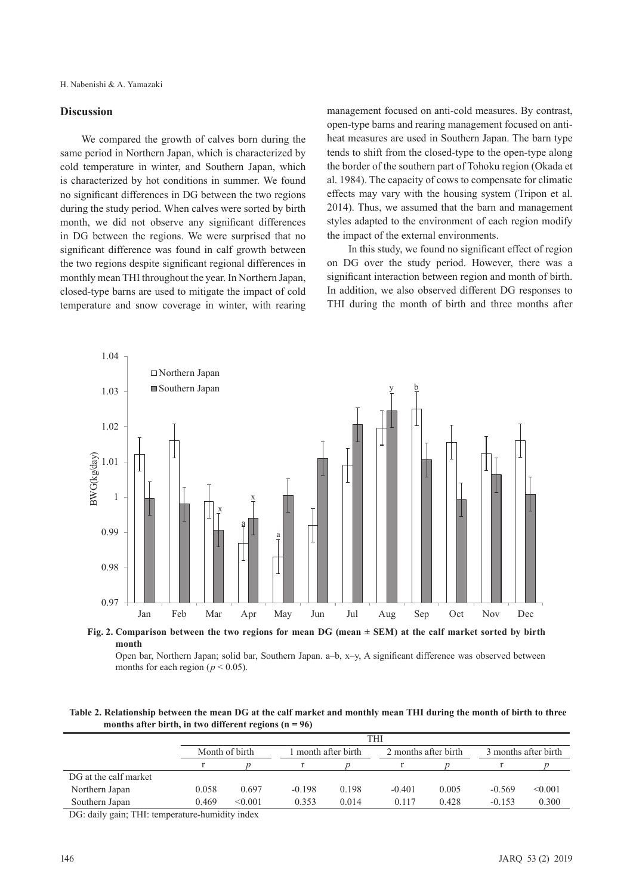## **Discussion**

We compared the growth of calves born during the same period in Northern Japan, which is characterized by cold temperature in winter, and Southern Japan, which is characterized by hot conditions in summer. We found no significant differences in DG between the two regions during the study period. When calves were sorted by birth month, we did not observe any significant differences in DG between the regions. We were surprised that no significant difference was found in calf growth between the two regions despite significant regional differences in monthly mean THI throughout the year. In Northern Japan, closed-type barns are used to mitigate the impact of cold temperature and snow coverage in winter, with rearing management focused on anti-cold measures. By contrast, open-type barns and rearing management focused on antiheat measures are used in Southern Japan. The barn type tends to shift from the closed-type to the open-type along the border of the southern part of Tohoku region (Okada et al. 1984). The capacity of cows to compensate for climatic effects may vary with the housing system (Tripon et al. 2014). Thus, we assumed that the barn and management styles adapted to the environment of each region modify the impact of the external environments.

In this study, we found no significant effect of region on DG over the study period. However, there was a significant interaction between region and month of birth. In addition, we also observed different DG responses to THI during the month of birth and three months after



**Fig. 2. Comparison between the two regions for mean DG (mean ± SEM) at the calf market sorted by birth month**

**Table 2. Relationship between the mean DG at the calf market and monthly mean THI during the month of birth to three months after birth, in two different regions (n = 96)**

|                                            | THI            |          |          |                   |                      |       |                      |         |  |  |  |
|--------------------------------------------|----------------|----------|----------|-------------------|----------------------|-------|----------------------|---------|--|--|--|
|                                            | Month of birth |          |          | month after birth | 2 months after birth |       | 3 months after birth |         |  |  |  |
|                                            |                |          |          |                   |                      |       |                      |         |  |  |  |
| DG at the calf market                      |                |          |          |                   |                      |       |                      |         |  |  |  |
| Northern Japan                             | 0.058          | 0.697    | $-0.198$ | 0.198             | $-0.401$             | 0.005 | $-0.569$             | < 0.001 |  |  |  |
| Southern Japan                             | 0.469          | < 0.001  | 0.353    | 0.014             | 0.117                | 0.428 | $-0.153$             | 0.300   |  |  |  |
| $P^{\prime}$ $\sim$ 1 $\cdot$ 1<br>T T T T |                | $\cdots$ |          |                   |                      |       |                      |         |  |  |  |

DG: daily gain; THI: temperature-humidity index

**Fig. 2.** Open bar, Northern Japan; solid bar, Southern Japan. a–b, x–y, A significant difference was observed between months for each region ( $p < 0.05$ ).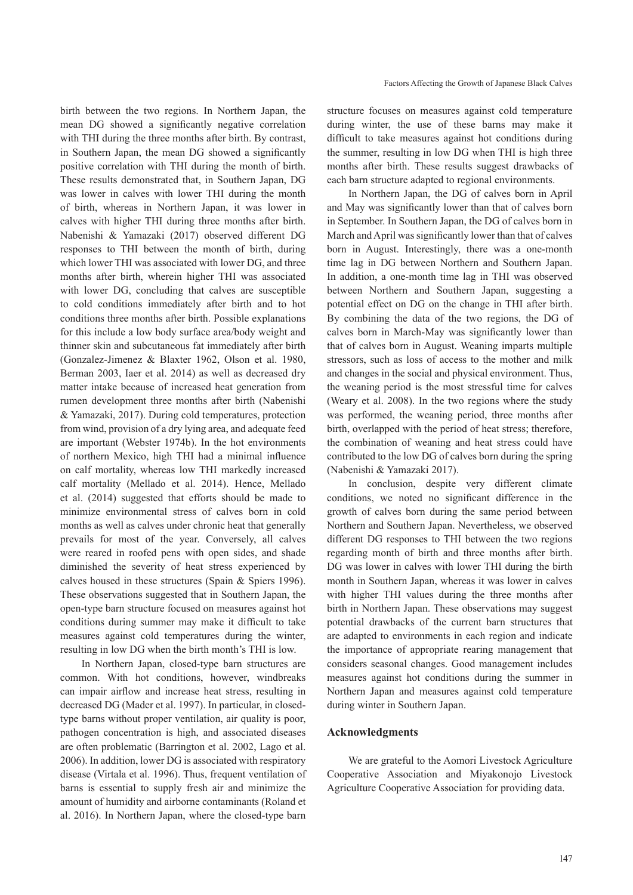birth between the two regions. In Northern Japan, the mean DG showed a significantly negative correlation with THI during the three months after birth. By contrast, in Southern Japan, the mean DG showed a significantly positive correlation with THI during the month of birth. These results demonstrated that, in Southern Japan, DG was lower in calves with lower THI during the month of birth, whereas in Northern Japan, it was lower in calves with higher THI during three months after birth. Nabenishi & Yamazaki (2017) observed different DG responses to THI between the month of birth, during which lower THI was associated with lower DG, and three months after birth, wherein higher THI was associated with lower DG, concluding that calves are susceptible to cold conditions immediately after birth and to hot conditions three months after birth. Possible explanations for this include a low body surface area/body weight and thinner skin and subcutaneous fat immediately after birth (Gonzalez-Jimenez & Blaxter 1962, Olson et al. 1980, Berman 2003, Iaer et al. 2014) as well as decreased dry matter intake because of increased heat generation from rumen development three months after birth (Nabenishi & Yamazaki, 2017). During cold temperatures, protection from wind, provision of a dry lying area, and adequate feed are important (Webster 1974b). In the hot environments of northern Mexico, high THI had a minimal influence on calf mortality, whereas low THI markedly increased calf mortality (Mellado et al. 2014). Hence, Mellado et al. (2014) suggested that efforts should be made to minimize environmental stress of calves born in cold months as well as calves under chronic heat that generally prevails for most of the year. Conversely, all calves were reared in roofed pens with open sides, and shade diminished the severity of heat stress experienced by calves housed in these structures (Spain & Spiers 1996). These observations suggested that in Southern Japan, the open-type barn structure focused on measures against hot conditions during summer may make it difficult to take measures against cold temperatures during the winter, resulting in low DG when the birth month's THI is low.

In Northern Japan, closed-type barn structures are common. With hot conditions, however, windbreaks can impair airflow and increase heat stress, resulting in decreased DG (Mader et al. 1997). In particular, in closedtype barns without proper ventilation, air quality is poor, pathogen concentration is high, and associated diseases are often problematic (Barrington et al. 2002, Lago et al. 2006). In addition, lower DG is associated with respiratory disease (Virtala et al. 1996). Thus, frequent ventilation of barns is essential to supply fresh air and minimize the amount of humidity and airborne contaminants (Roland et al. 2016). In Northern Japan, where the closed-type barn

structure focuses on measures against cold temperature during winter, the use of these barns may make it difficult to take measures against hot conditions during the summer, resulting in low DG when THI is high three months after birth. These results suggest drawbacks of each barn structure adapted to regional environments.

In Northern Japan, the DG of calves born in April and May was significantly lower than that of calves born in September. In Southern Japan, the DG of calves born in March and April was significantly lower than that of calves born in August. Interestingly, there was a one-month time lag in DG between Northern and Southern Japan. In addition, a one-month time lag in THI was observed between Northern and Southern Japan, suggesting a potential effect on DG on the change in THI after birth. By combining the data of the two regions, the DG of calves born in March-May was significantly lower than that of calves born in August. Weaning imparts multiple stressors, such as loss of access to the mother and milk and changes in the social and physical environment. Thus, the weaning period is the most stressful time for calves (Weary et al. 2008). In the two regions where the study was performed, the weaning period, three months after birth, overlapped with the period of heat stress; therefore, the combination of weaning and heat stress could have contributed to the low DG of calves born during the spring (Nabenishi & Yamazaki 2017).

In conclusion, despite very different climate conditions, we noted no significant difference in the growth of calves born during the same period between Northern and Southern Japan. Nevertheless, we observed different DG responses to THI between the two regions regarding month of birth and three months after birth. DG was lower in calves with lower THI during the birth month in Southern Japan, whereas it was lower in calves with higher THI values during the three months after birth in Northern Japan. These observations may suggest potential drawbacks of the current barn structures that are adapted to environments in each region and indicate the importance of appropriate rearing management that considers seasonal changes. Good management includes measures against hot conditions during the summer in Northern Japan and measures against cold temperature during winter in Southern Japan.

#### **Acknowledgments**

We are grateful to the Aomori Livestock Agriculture Cooperative Association and Miyakonojo Livestock Agriculture Cooperative Association for providing data.